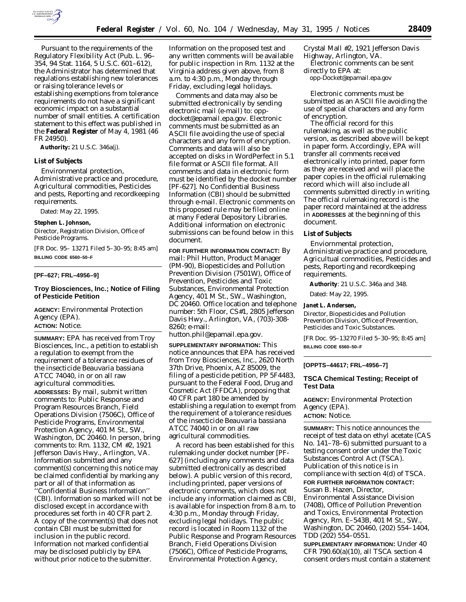

Pursuant to the requirements of the Regulatory Flexibility Act (Pub. L. 96– 354, 94 Stat. 1164, 5 U.S.C. 601–612), the Administrator has determined that regulations establishing new tolerances or raising tolerance levels or establishing exemptions from tolerance requirements do not have a significant economic impact on a substantial number of small entities. A certification statement to this effect was published in the **Federal Register** of May 4, 1981 (46 FR 24950).

**Authority:** 21 U.S.C. 346a(j).

## **List of Subjects**

Environmental protection, Administrative practice and procedure, Agricultural commodities, Pesticides and pests, Reporting and recordkeeping requirements.

Dated: May 22, 1995.

## **Stephen L. Johnson,**

*Director, Registration Division, Office of Pesticide Programs.*

[FR Doc. 95– 13271 Filed 5–30–95; 8:45 am] **BILLING CODE 6560–50–F**

# **[PF–627; FRL–4956–9]**

## **Troy Biosciences, Inc.; Notice of Filing of Pesticide Petition**

**AGENCY:** Environmental Protection Agency (EPA). **ACTION:** Notice.

**SUMMARY:** EPA has received from Troy Biosciences, Inc., a petition to establish a regulation to exempt from the requirement of a tolerance residues of the insecticide *Beauvaria bassiana* ATCC 74040, in or on all raw agricultural commodities. **ADDRESSES:** By mail, submit written comments to: Public Response and Program Resources Branch, Field Operations Division (7506C), Office of Pesticide Programs, Environmental Protection Agency, 401 M St., SW., Washington, DC 20460. In person, bring comments to: Rm. 1132, CM #2, 1921 Jefferson Davis Hwy., Arlington, VA. Information submitted and any comment(s) concerning this notice may be claimed confidential by marking any part or all of that information as ''Confidential Business Information'' (CBI). Information so marked will not be disclosed except in accordance with procedures set forth in 40 CFR part 2. A copy of the comment(s) that does not contain CBI must be submitted for inclusion in the public record. Information not marked confidential may be disclosed publicly by EPA without prior notice to the submitter.

Information on the proposed test and any written comments will be available for public inspection in Rm. 1132 at the Virginia address given above, from 8 a.m. to 4:30 p.m., Monday through Friday, excluding legal holidays.

Comments and data may also be submitted electronically by sending electronic mail (e-mail) to: oppdocket@epamail.epa.gov. Electronic comments must be submitted as an ASCII file avoiding the use of special characters and any form of encryption. Comments and data will also be accepted on disks in WordPerfect in 5.1 file format or ASCII file format. All comments and data in electronic form must be identified by the docket number [PF-627]. No Confidential Business Information (CBI) should be submitted through e-mail. Electronic comments on this proposed rule may be filed online at many Federal Depository Libraries. Additional information on electronic submissions can be found below in this document.

**FOR FURTHER INFORMATION CONTACT:** By mail: Phil Hutton, Product Manager (PM-90), Biopesticides and Pollution Prevention Division (7501W), Office of Prevention, Pesticides and Toxic Substances, Environmental Protection Agency, 401 M St., SW., Washington, DC 20460. Office location and telephone number: 5th Floor, CS#1, 2805 Jefferson Davis Hwy., Arlington, VA, (703)-308- 8260; e-mail:

hutton.phil@epamail.epa.gov.

**SUPPLEMENTARY INFORMATION:** This notice announces that EPA has received from Troy Biosciences, Inc., 2620 North 37th Drive, Phoenix, AZ 85009, the filing of a pesticide petition, PP 5F4483, pursuant to the Federal Food, Drug and Cosmetic Act (FFDCA), proposing that 40 CFR part 180 be amended by establishing a regulation to exempt from the requirement of a tolerance residues of the insecticide *Beauvaria bassiana* ATCC 74040 in or on all raw agricultural commodities.

A record has been established for this rulemaking under docket number [PF-627] (including any comments and data submitted electronically as described below). A public version of this record, including printed, paper versions of electronic comments, which does not include any information claimed as CBI, is available for inspection from 8 a.m. to 4:30 p.m., Monday through Friday, excluding legal holidays. The public record is located in Room 1132 of the Public Response and Program Resources Branch, Field Operations Division (7506C), Office of Pesticide Programs, Environmental Protection Agency,

Crystal Mall #2, 1921 Jefferson Davis Highway, Arlington, VA.

Electronic comments can be sent directly to EPA at:

opp-Docket@epamail.epa.gov

Electronic comments must be submitted as an ASCII file avoiding the use of special characters and any form of encryption.

The official record for this rulemaking, as well as the public version, as described above will be kept in paper form. Accordingly, EPA will transfer all comments received electronically into printed, paper form as they are received and will place the paper copies in the official rulemaking record which will also include all comments submitted directly in writing. The official rulemaking record is the paper record maintained at the address in **ADDRESSES** at the beginning of this document.

## **List of Subjects**

Enviornmental protection, Administrative practice and procedure, Agricultual commodities, Pesticides and pests, Reporting and recordkeeping requirements.

**Authority**: 21 U.S.C. 346a and 348.

Dated: May 22, 1995.

### **Janet L. Andersen,**

*Director, Biopesticides and Pollution Prevention Division, Office of Prevention, Pesticides and Toxic Substances.*

[FR Doc. 95–13270 Filed 5–30–95; 8:45 am] **BILLING CODE 6560–50–F**

## **[OPPTS–44617; FRL–4956–7]**

## **TSCA Chemical Testing; Receipt of Test Data**

**AGENCY:** Environmental Protection Agency (EPA). **ACTION:** Notice.

**SUMMARY:** This notice announces the receipt of test data on ethyl acetate (CAS No. 141–78–6) submitted pursuant to a testing consent order under the Toxic Substances Control Act (TSCA). Publication of this notice is in compliance with section 4(d) of TSCA. **FOR FURTHER INFORMATION CONTACT:** Susan B. Hazen, Director,

Environmental Assistance Division (7408), Office of Pollution Prevention and Toxics, Environmental Protection Agency, Rm. E–543B, 401 M St., SW., Washington, DC 20460, (202) 554–1404, TDD (202) 554–0551.

**SUPPLEMENTARY INFORMATION:** Under 40 CFR 790.60(a)(10), all TSCA section 4 consent orders must contain a statement